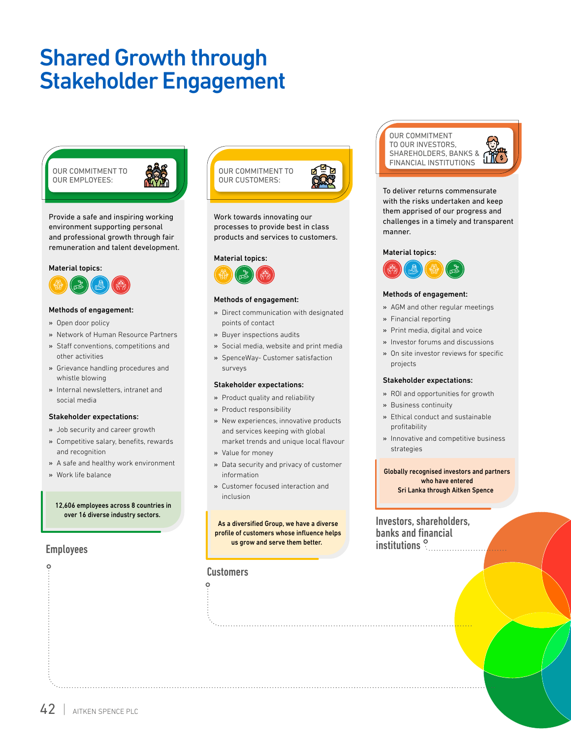# Shared Growth through Stakeholder Engagement

OUR COMMITMENT TO OUR EMPLOYEES:



Provide a safe and inspiring working environment supporting personal and professional growth through fair remuneration and talent development.

#### Material topics:



#### Methods of engagement:

- » Open door policy
- » Network of Human Resource Partners
- » Staff conventions, competitions and other activities
- » Grievance handling procedures and whistle blowing
- » Internal newsletters, intranet and social media

#### Stakeholder expectations:

- » Job security and career growth
- » Competitive salary, benefits, rewards and recognition
- » A safe and healthy work environment
- » Work life balance

#### 12,606 employees across 8 countries in over 16 diverse industry sectors.

### Employees

 $\circ$ 



Work towards innovating our processes to provide best in class products and services to customers.

#### Material topics:



#### Methods of engagement:

- » Direct communication with designated points of contact
- » Buyer inspections audits
- » Social media, website and print media
- » SpenceWay- Customer satisfaction surveys

### Stakeholder expectations:

- » Product quality and reliability
- » Product responsibility
- » New experiences, innovative products and services keeping with global market trends and unique local flavour
- » Value for money
- » Data security and privacy of customer information
- » Customer focused interaction and inclusion

As a diversified Group, we have a diverse profile of customers whose influence helps us grow and serve them better.

### **Customers**

 $\circ$ 

OUR COMMITMENT TO OUR INVESTORS, SHAREHOLDERS, BANKS & FINANCIAL INSTITUTIONS

To deliver returns commensurate with the risks undertaken and keep them apprised of our progress and challenges in a timely and transparent manner.

### Material topics:



#### Methods of engagement:

- » AGM and other regular meetings
- » Financial reporting
- » Print media, digital and voice
- » Investor forums and discussions
- » On site investor reviews for specific projects

#### Stakeholder expectations:

- » ROI and opportunities for growth
- » Business continuity
- » Ethical conduct and sustainable profitability
- » Innovative and competitive business strategies

#### Globally recognised investors and partners who have entered Sri Lanka through Aitken Spence

Investors, shareholders, banks and financial institutions<sup>9</sup>

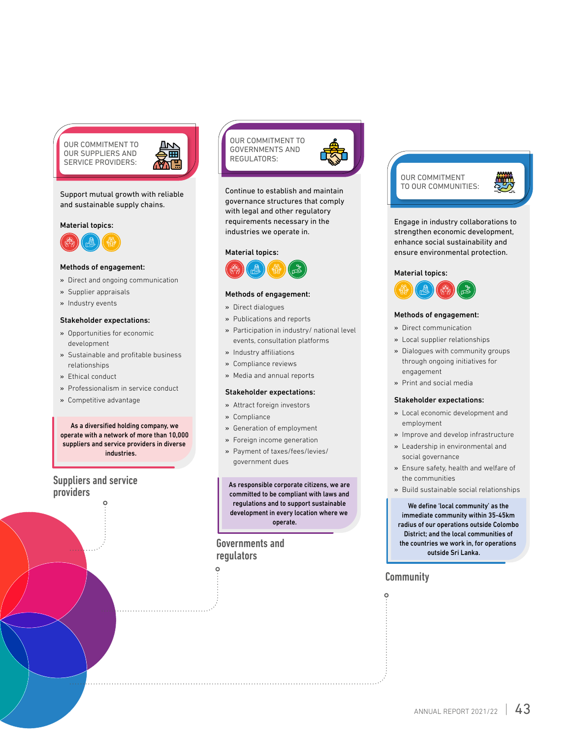OUR COMMITMENT TO OUR SUPPLIERS AND SERVICE PROVIDERS:



#### Support mutual growth with reliable and sustainable supply chains.

#### Material topics:



#### Methods of engagement:

- » Direct and ongoing communication
- » Supplier appraisals
- » Industry events

#### Stakeholder expectations:

- » Opportunities for economic development
- » Sustainable and profitable business relationships
- » Ethical conduct
- » Professionalism in service conduct
- » Competitive advantage

As a diversified holding company, we operate with a network of more than 10,000 suppliers and service providers in diverse industries.

# Suppliers and service providers



Continue to establish and maintain governance structures that comply with legal and other regulatory requirements necessary in the industries we operate in.

#### Material topics:



#### Methods of engagement:

» Direct dialogues

- » Publications and reports
- » Participation in industry/ national level events, consultation platforms
- » Industry affiliations
- » Compliance reviews
- » Media and annual reports

#### Stakeholder expectations:

- » Attract foreign investors
- » Compliance
- » Generation of employment
- » Foreign income generation
- » Payment of taxes/fees/levies/ government dues

As responsible corporate citizens, we are committed to be compliant with laws and regulations and to support sustainable development in every location where we operate.

### Governments and regulators

 $\circ$ 



Engage in industry collaborations to strengthen economic development, enhance social sustainability and ensure environmental protection.

#### Material topics:



#### Methods of engagement:

- » Direct communication
- » Local supplier relationships
- » Dialogues with community groups through ongoing initiatives for engagement
- » Print and social media

#### Stakeholder expectations:

- » Local economic development and employment
- » Improve and develop infrastructure
- » Leadership in environmental and social governance
- » Ensure safety, health and welfare of the communities
- » Build sustainable social relationships

We define 'local community' as the immediate community within 35-45km radius of our operations outside Colombo District; and the local communities of the countries we work in, for operations outside Sri Lanka.

## **Community**

 $\circ$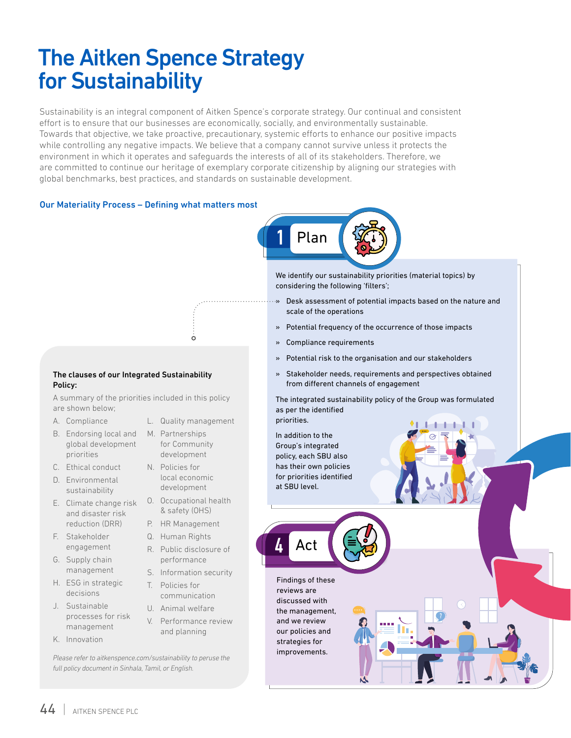# The Aitken Spence Strategy for Sustainability

Sustainability is an integral component of Aitken Spence's corporate strategy. Our continual and consistent effort is to ensure that our businesses are economically, socially, and environmentally sustainable. Towards that objective, we take proactive, precautionary, systemic efforts to enhance our positive impacts while controlling any negative impacts. We believe that a company cannot survive unless it protects the environment in which it operates and safeguards the interests of all of its stakeholders. Therefore, we are committed to continue our heritage of exemplary corporate citizenship by aligning our strategies with global benchmarks, best practices, and standards on sustainable development.

### Our Materiality Process – Defining what matters most

The clauses of our Integrated Sustainability

A summary of the priorities included in this policy



We identify our sustainability priorities (material topics) by considering the following 'filters';

- » Desk assessment of potential impacts based on the nature and scale of the operations
	- » Potential frequency of the occurrence of those impacts
	- » Compliance requirements
	- » Potential risk to the organisation and our stakeholders
	- » Stakeholder needs, requirements and perspectives obtained from different channels of engagement

The integrated sustainability policy of the Group was formulated as per the identified priorities.

In addition to the Group's integrated policy, each SBU also has their own policies for priorities identified at SBU level.

Findings of these reviews are discussed with the management, and we review our policies and strategies for improvements.

Act

4

C. Ethical conduct D. Environmental

global development

- sustainability E. Climate change risk
- and disaster risk reduction (DRR)
- F. Stakeholder engagement

Policy:

are shown below; A. Compliance

priorities

- G. Supply chain management
- H. ESG in strategic decisions
- J. Sustainable processes for risk management
- K. Innovation

for Community development N. Policies for

- local economic development
- O. Occupational health & safety (OHS)
- P. HR Management
- Q. Human Rights
- R. Public disclosure of
- performance S. Information security
- T. Policies for
- communication U. Animal welfare
- V. Performance review and planning

*Please refer to aitkenspence.com/sustainability to peruse the full policy document in Sinhala, Tamil, or English.* 

B. Endorsing local and M. Partnerships

L. Quality management

 $\dot{\circ}$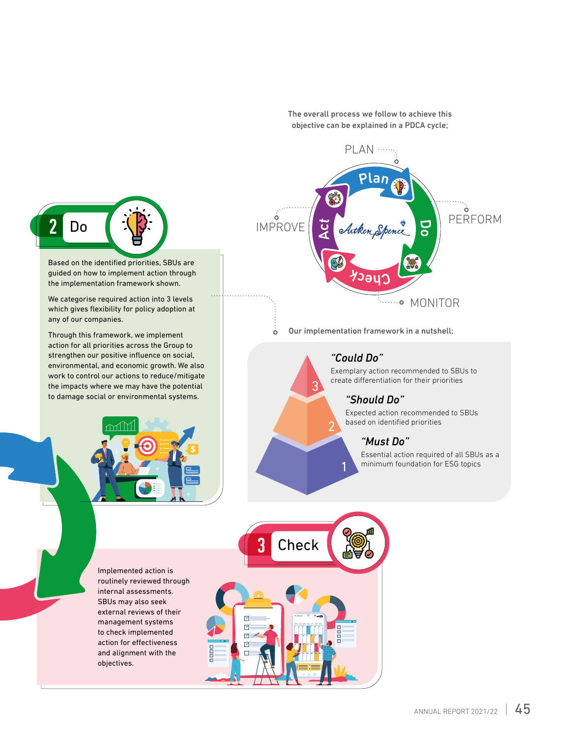

Based on the identified priorities, SBUs are guided on how to implement action through the implementation framework shown.

We categorise required action into 3 levels which gives flexibility for policy adoption at any of our companies.

Through this framework, we implement action for all priorities across the Group to strengthen our positive influence on social, environmental, and economic growth. We also work to control our actions to reduce/mitigate the impacts where we may have the potential to damage social or environmental systems.



Implemented action is routinely reviewed through internal assessments. SBUs may also seek external reviews of their management systems to check implemented action for effectiveness and alignment with the objectives.

The overall process we follow to achieve this objective can be explained in a PDCA cycle;



# *"Could Do"*

2

3

Exemplary action recommended to SBUs to create differentiation for their priorities

## *"Should Do"*

Expected action recommended to SBUs based on identified priorities

# *"Must Do"*

Essential action required of all SBUs as a minimum foundation for ESG topics 1

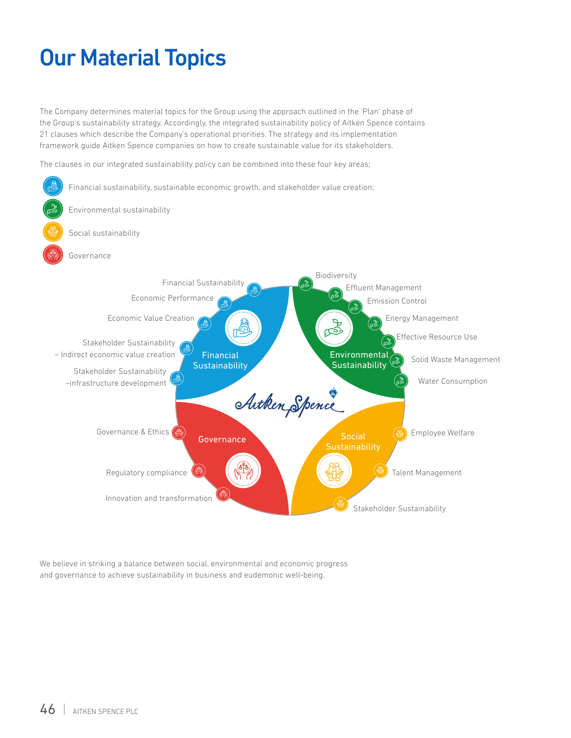# Our Material Topics

The Company determines material topics for the Group using the approach outlined in the 'Plan' phase of the Group's sustainability strategy. Accordingly, the integrated sustainability policy of Aitken Spence contains 21 clauses which describe the Company's operational priorities. The strategy and its implementation framework guide Aitken Spence companies on how to create sustainable value for its stakeholders.

The clauses in our integrated sustainability policy can be combined into these four key areas;



We believe in striking a balance between social, environmental and economic progress and governance to achieve sustainability in business and eudemonic well-being.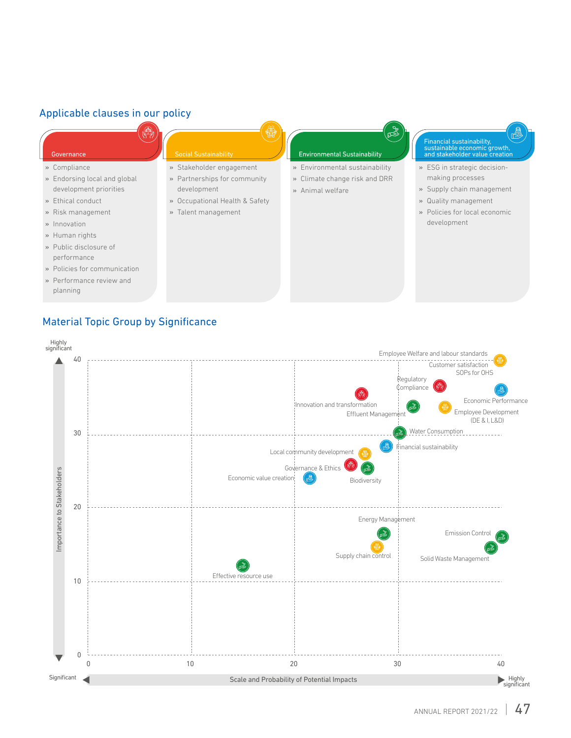# Applicable clauses in our policy

- » Compliance
- » Endorsing local and global development priorities
- » Ethical conduct
- » Risk management
- » Innovation
- » Human rights
- » Public disclosure of performance
- » Policies for communication
- » Performance review and planning

# Governance Social Sustainability Environmental Sustainability

#### » Stakeholder engagement

- » Partnerships for community
- development » Occupational Health & Safety
- » Talent management

ts<br>P

- » Environmental sustainability
- » Climate change risk and DRR
- » Animal welfare

# Financial sustainability, sustainable economic growth, and stakeholder value creation

- » ESG in strategic decisionmaking processes
- » Supply chain management
- » Quality management
- » Policies for local economic development

Material Topic Group by Significance

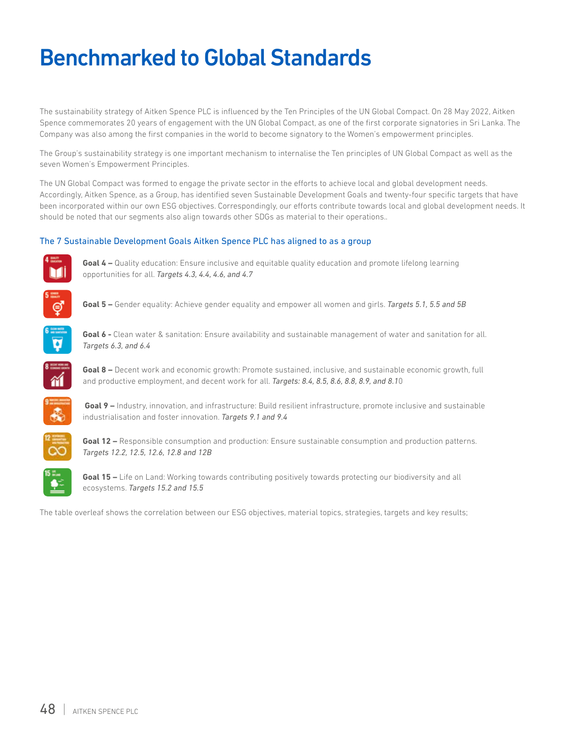# Benchmarked to Global Standards

The sustainability strategy of Aitken Spence PLC is influenced by the Ten Principles of the UN Global Compact. On 28 May 2022, Aitken Spence commemorates 20 years of engagement with the UN Global Compact, as one of the first corporate signatories in Sri Lanka. The Company was also among the first companies in the world to become signatory to the Women's empowerment principles.

The Group's sustainability strategy is one important mechanism to internalise the Ten principles of UN Global Compact as well as the seven Women's Empowerment Principles.

The UN Global Compact was formed to engage the private sector in the efforts to achieve local and global development needs. Accordingly, Aitken Spence, as a Group, has identified seven Sustainable Development Goals and twenty-four specific targets that have been incorporated within our own ESG objectives. Correspondingly, our efforts contribute towards local and global development needs. It should be noted that our segments also align towards other SDGs as material to their operations..

### The 7 Sustainable Development Goals Aitken Spence PLC has aligned to as a group



**Goal 4 –** Quality education: Ensure inclusive and equitable quality education and promote lifelong learning opportunities for all. *Targets 4.3, 4.4, 4.6, and 4.7*



**Goal 5 –** Gender equality: Achieve gender equality and empower all women and girls. *Targets 5.1, 5.5 and 5B* 



**Goal 6 -** Clean water & sanitation: Ensure availability and sustainable management of water and sanitation for all. *Targets 6.3, and 6.4*



**Goal 8 –** Decent work and economic growth: Promote sustained, inclusive, and sustainable economic growth, full and productive employment, and decent work for all. *Targets: 8.4, 8.5, 8.6, 8.8, 8.9, and 8.1*0



**Goal 9 –** Industry, innovation, and infrastructure: Build resilient infrastructure, promote inclusive and sustainable industrialisation and foster innovation. *Targets 9.1 and 9.4* 



**Goal 12 –** Responsible consumption and production: Ensure sustainable consumption and production patterns. *Targets 12.2, 12.5, 12.6, 12.8 and 12B*



**Goal 15 –** Life on Land: Working towards contributing positively towards protecting our biodiversity and all ecosystems. *Targets 15.2 and 15.5*

The table overleaf shows the correlation between our ESG objectives, material topics, strategies, targets and key results;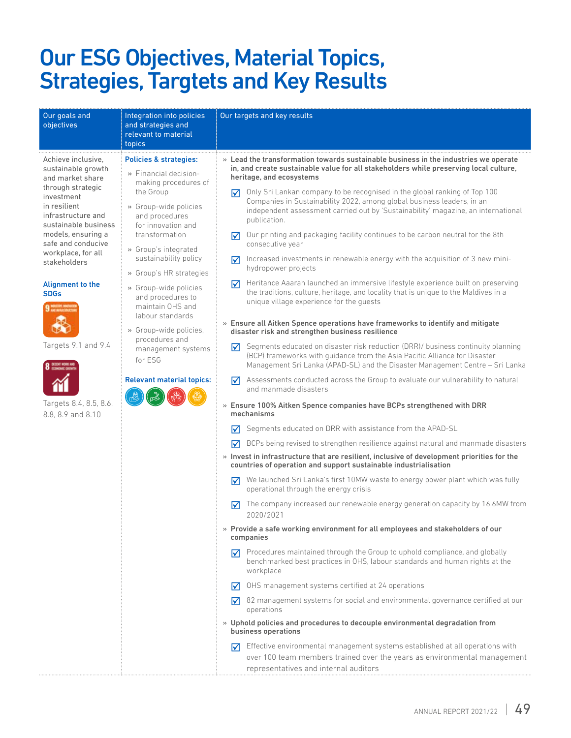# Our ESG Objectives, Material Topics, Strategies, Targtets and Key Results

| Our goals and<br>Integration into policies<br>objectives<br>and strategies and<br>relevant to material<br>topics                                                                                                                                                                                                                                                                                                                                                                                                                                                                                                                                                                                                                                                                                                                         | Our targets and key results                                                                                                                                                                                                                                                                                                                                                                                                                                                                                                                                                                                                                                                                                                                                                                                                                                                                                                                                                                                                                                                                                                                                                                                                                                                                                                                                                                                                                                                                                                                                                                                                                                                                                                                                                                                                                                                                                                                                                                                                                                                                                                                                                                                                                                                                                                                                                                                                                                                                                                                                                                                                                                                                        |
|------------------------------------------------------------------------------------------------------------------------------------------------------------------------------------------------------------------------------------------------------------------------------------------------------------------------------------------------------------------------------------------------------------------------------------------------------------------------------------------------------------------------------------------------------------------------------------------------------------------------------------------------------------------------------------------------------------------------------------------------------------------------------------------------------------------------------------------|----------------------------------------------------------------------------------------------------------------------------------------------------------------------------------------------------------------------------------------------------------------------------------------------------------------------------------------------------------------------------------------------------------------------------------------------------------------------------------------------------------------------------------------------------------------------------------------------------------------------------------------------------------------------------------------------------------------------------------------------------------------------------------------------------------------------------------------------------------------------------------------------------------------------------------------------------------------------------------------------------------------------------------------------------------------------------------------------------------------------------------------------------------------------------------------------------------------------------------------------------------------------------------------------------------------------------------------------------------------------------------------------------------------------------------------------------------------------------------------------------------------------------------------------------------------------------------------------------------------------------------------------------------------------------------------------------------------------------------------------------------------------------------------------------------------------------------------------------------------------------------------------------------------------------------------------------------------------------------------------------------------------------------------------------------------------------------------------------------------------------------------------------------------------------------------------------------------------------------------------------------------------------------------------------------------------------------------------------------------------------------------------------------------------------------------------------------------------------------------------------------------------------------------------------------------------------------------------------------------------------------------------------------------------------------------------------|
| Achieve inclusive,<br><b>Policies &amp; strategies:</b><br>sustainable growth<br>» Financial decision-<br>and market share<br>making procedures of<br>through strategic<br>the Group<br>investment<br>in resilient<br>» Group-wide policies<br>infrastructure and<br>and procedures<br>sustainable business<br>for innovation and<br>models, ensuring a<br>transformation<br>safe and conducive<br>» Group's integrated<br>workplace, for all<br>sustainability policy<br>stakeholders<br>» Group's HR strategies<br><b>Alignment to the</b><br>» Group-wide policies<br><b>SDGs</b><br>and procedures to<br>maintain OHS and<br>labour standards<br>» Group-wide policies,<br>procedures and<br>Targets 9.1 and 9.4<br>management systems<br>for ESG<br><b>Relevant material topics:</b><br>Targets 8.4, 8.5, 8.6,<br>8.8, 8.9 and 8.10 | » Lead the transformation towards sustainable business in the industries we operate<br>in, and create sustainable value for all stakeholders while preserving local culture,<br>heritage, and ecosystems<br>Only Sri Lankan company to be recognised in the global ranking of Top 100<br>丙<br>Companies in Sustainability 2022, among global business leaders, in an<br>independent assessment carried out by 'Sustainability' magazine, an international<br>publication.<br>Our printing and packaging facility continues to be carbon neutral for the 8th<br>$\overline{\mathsf{M}}$<br>consecutive year<br>Increased investments in renewable energy with the acquisition of 3 new mini-<br>☑<br>hydropower projects<br>Heritance Aaarah launched an immersive lifestyle experience built on preserving<br>$\overline{\mathsf{M}}$<br>the traditions, culture, heritage, and locality that is unique to the Maldives in a<br>unique village experience for the quests<br>» Ensure all Aitken Spence operations have frameworks to identify and mitigate<br>disaster risk and strengthen business resilience<br>Segments educated on disaster risk reduction (DRR)/ business continuity planning<br>⋈<br>(BCP) frameworks with guidance from the Asia Pacific Alliance for Disaster<br>Management Sri Lanka (APAD-SL) and the Disaster Management Centre - Sri Lanka<br>Assessments conducted across the Group to evaluate our vulnerability to natural<br>М<br>and manmade disasters<br>» Ensure 100% Aitken Spence companies have BCPs strengthened with DRR<br>mechanisms<br>Segments educated on DRR with assistance from the APAD-SL<br>∀<br>BCPs being revised to strengthen resilience against natural and manmade disasters<br>⋈<br>» Invest in infrastructure that are resilient, inclusive of development priorities for the<br>countries of operation and support sustainable industrialisation<br>We launched Sri Lanka's first 10MW waste to energy power plant which was fully<br>☑<br>operational through the energy crisis<br>The company increased our renewable energy generation capacity by 16.6MW from<br>⋈<br>2020/2021<br>» Provide a safe working environment for all employees and stakeholders of our<br>companies<br>Procedures maintained through the Group to uphold compliance, and globally<br>⋈<br>benchmarked best practices in OHS, labour standards and human rights at the<br>workplace<br>OHS management systems certified at 24 operations<br>⋈<br>82 management systems for social and environmental governance certified at our<br>М<br>operations<br>» Uphold policies and procedures to decouple environmental degradation from<br>business operations |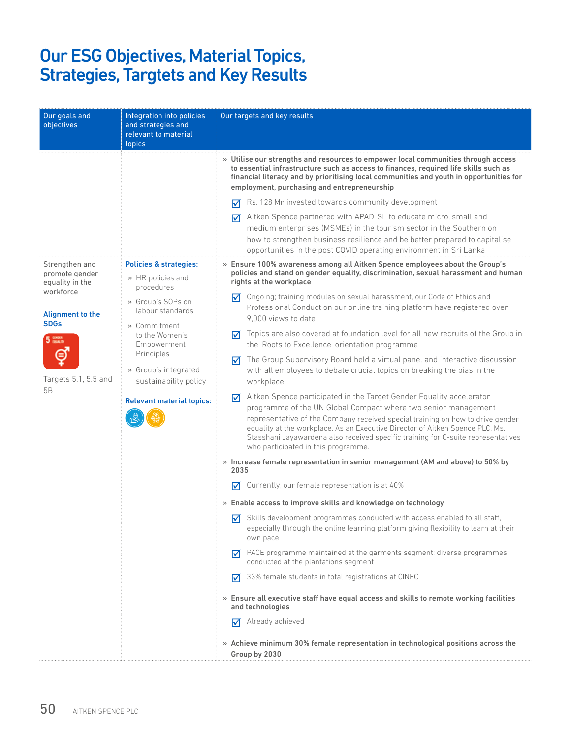# Our ESG Objectives, Material Topics, Strategies, Targtets and Key Results

| Our goals and<br>objectives                                                                                                                                 | Integration into policies<br>and strategies and<br>relevant to material<br>topics                                                                                                                                                                      | Our targets and key results                                                                                                                                                                                                                                                                                                                                                                                                                                                                                                                                                                                                                                                                                                                                                                                                                                                                                                                                                                                                                                                                                                                                                                                                                                                                                                                                                                                                                                                                                                                                                                                                                                                                                                                                                                                                                                                                                                                                                                                                                    |
|-------------------------------------------------------------------------------------------------------------------------------------------------------------|--------------------------------------------------------------------------------------------------------------------------------------------------------------------------------------------------------------------------------------------------------|------------------------------------------------------------------------------------------------------------------------------------------------------------------------------------------------------------------------------------------------------------------------------------------------------------------------------------------------------------------------------------------------------------------------------------------------------------------------------------------------------------------------------------------------------------------------------------------------------------------------------------------------------------------------------------------------------------------------------------------------------------------------------------------------------------------------------------------------------------------------------------------------------------------------------------------------------------------------------------------------------------------------------------------------------------------------------------------------------------------------------------------------------------------------------------------------------------------------------------------------------------------------------------------------------------------------------------------------------------------------------------------------------------------------------------------------------------------------------------------------------------------------------------------------------------------------------------------------------------------------------------------------------------------------------------------------------------------------------------------------------------------------------------------------------------------------------------------------------------------------------------------------------------------------------------------------------------------------------------------------------------------------------------------------|
|                                                                                                                                                             |                                                                                                                                                                                                                                                        | » Utilise our strengths and resources to empower local communities through access<br>to essential infrastructure such as access to finances, required life skills such as<br>financial literacy and by prioritising local communities and youth in opportunities for<br>employment, purchasing and entrepreneurship<br>Rs. 128 Mn invested towards community development<br>罓<br>Aitken Spence partnered with APAD-SL to educate micro, small and<br>⋈<br>medium enterprises (MSMEs) in the tourism sector in the Southern on<br>how to strengthen business resilience and be better prepared to capitalise<br>opportunities in the post COVID operating environment in Sri Lanka                                                                                                                                                                                                                                                                                                                                                                                                                                                                                                                                                                                                                                                                                                                                                                                                                                                                                                                                                                                                                                                                                                                                                                                                                                                                                                                                                              |
| Strengthen and<br>promote gender<br>equality in the<br>workforce<br><b>Alignment to the</b><br><b>SDGs</b><br>5 <sup>em</sup><br>Targets 5.1, 5.5 and<br>5B | Policies & strategies:<br>» HR policies and<br>procedures<br>» Group's SOPs on<br>labour standards<br>» Commitment<br>to the Women's<br>Empowerment<br>Principles<br>» Group's integrated<br>sustainability policy<br><b>Relevant material topics:</b> | » Ensure 100% awareness among all Aitken Spence employees about the Group's<br>policies and stand on gender equality, discrimination, sexual harassment and human<br>rights at the workplace<br>Ongoing; training modules on sexual harassment, our Code of Ethics and<br>⋈<br>Professional Conduct on our online training platform have registered over<br>9.000 views to date<br>Topics are also covered at foundation level for all new recruits of the Group in<br>M<br>the 'Roots to Excellence' orientation programme<br>The Group Supervisory Board held a virtual panel and interactive discussion<br>⋈<br>with all employees to debate crucial topics on breaking the bias in the<br>workplace.<br>Aitken Spence participated in the Target Gender Equality accelerator<br>$\overline{\mathsf{M}}$<br>programme of the UN Global Compact where two senior management<br>representative of the Company received special training on how to drive gender<br>equality at the workplace. As an Executive Director of Aitken Spence PLC, Ms.<br>Stasshani Jayawardena also received specific training for C-suite representatives<br>who participated in this programme.<br>» Increase female representation in senior management (AM and above) to 50% by<br>2035<br>Currently, our female representation is at 40%<br>⊠<br>» Enable access to improve skills and knowledge on technology<br>$\overline{\blacktriangledown}$ Skills development programmes conducted with access enabled to all staff,<br>especially through the online learning platform giving flexibility to learn at their<br>own pace<br>PACE programme maintained at the garments segment; diverse programmes<br>M<br>conducted at the plantations segment<br>33% female students in total registrations at CINEC<br>M<br>» Ensure all executive staff have equal access and skills to remote working facilities<br>and technologies<br>Already achieved<br>М<br>» Achieve minimum 30% female representation in technological positions across the<br>Group by 2030 |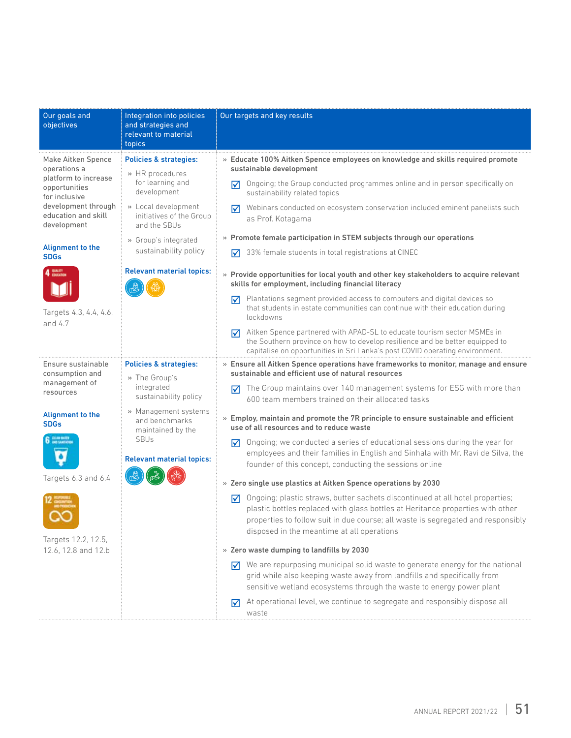| Our goals and<br>objectives                                                                                                                               | Integration into policies<br>and strategies and                                                                | Our targets and key results                                                                                                                                                                                                                                                                            |
|-----------------------------------------------------------------------------------------------------------------------------------------------------------|----------------------------------------------------------------------------------------------------------------|--------------------------------------------------------------------------------------------------------------------------------------------------------------------------------------------------------------------------------------------------------------------------------------------------------|
|                                                                                                                                                           | relevant to material<br>topics                                                                                 |                                                                                                                                                                                                                                                                                                        |
| Make Aitken Spence<br>operations a<br>platform to increase<br>opportunities<br>for inclusive<br>development through<br>education and skill<br>development | <b>Policies &amp; strategies:</b><br>» HR procedures<br>for learning and<br>development                        | » Educate 100% Aitken Spence employees on knowledge and skills required promote<br>sustainable development                                                                                                                                                                                             |
|                                                                                                                                                           |                                                                                                                | Ongoing; the Group conducted programmes online and in person specifically on<br>⋈<br>sustainability related topics                                                                                                                                                                                     |
|                                                                                                                                                           | » Local development<br>initiatives of the Group<br>and the SBUs                                                | Webinars conducted on ecosystem conservation included eminent panelists such<br>☑<br>as Prof. Kotagama                                                                                                                                                                                                 |
|                                                                                                                                                           | » Group's integrated                                                                                           | » Promote female participation in STEM subjects through our operations                                                                                                                                                                                                                                 |
| <b>Alignment to the</b><br><b>SDGs</b>                                                                                                                    | sustainability policy                                                                                          | 33% female students in total registrations at CINEC<br>☑                                                                                                                                                                                                                                               |
| QUALITY                                                                                                                                                   | <b>Relevant material topics:</b>                                                                               | » Provide opportunities for local youth and other key stakeholders to acquire relevant<br>skills for employment, including financial literacy                                                                                                                                                          |
| Targets 4.3, 4.4, 4.6,<br>and $4.7$                                                                                                                       |                                                                                                                | Plantations segment provided access to computers and digital devices so<br>⋈<br>that students in estate communities can continue with their education during<br>lockdowns                                                                                                                              |
|                                                                                                                                                           |                                                                                                                | Aitken Spence partnered with APAD-SL to educate tourism sector MSMEs in<br>☑<br>the Southern province on how to develop resilience and be better equipped to<br>capitalise on opportunities in Sri Lanka's post COVID operating environment.                                                           |
| Ensure sustainable<br>consumption and                                                                                                                     | <b>Policies &amp; strategies:</b><br>» The Group's                                                             | » Ensure all Aitken Spence operations have frameworks to monitor, manage and ensure<br>sustainable and efficient use of natural resources                                                                                                                                                              |
| management of<br>resources                                                                                                                                | integrated<br>sustainability policy                                                                            | The Group maintains over 140 management systems for ESG with more than<br>⋈<br>600 team members trained on their allocated tasks                                                                                                                                                                       |
| <b>Alignment to the</b><br><b>SDGs</b>                                                                                                                    | » Management systems<br>and benchmarks<br>maintained by the<br><b>SBUs</b><br><b>Relevant material topics:</b> | » Employ, maintain and promote the 7R principle to ensure sustainable and efficient<br>use of all resources and to reduce waste                                                                                                                                                                        |
| CLÉAN MAITH<br>Angli Samithi                                                                                                                              |                                                                                                                | Ongoing; we conducted a series of educational sessions during the year for<br>⋈<br>employees and their families in English and Sinhala with Mr. Ravi de Silva, the<br>founder of this concept, conducting the sessions online                                                                          |
| Targets 6.3 and 6.4                                                                                                                                       |                                                                                                                | » Zero single use plastics at Aitken Spence operations by 2030                                                                                                                                                                                                                                         |
| Targets 12.2, 12.5,                                                                                                                                       |                                                                                                                | Ongoing; plastic straws, butter sachets discontinued at all hotel properties;<br>☑<br>plastic bottles replaced with glass bottles at Heritance properties with other<br>properties to follow suit in due course; all waste is segregated and responsibly<br>disposed in the meantime at all operations |
| 12.6, 12.8 and 12.b                                                                                                                                       |                                                                                                                | » Zero waste dumping to landfills by 2030                                                                                                                                                                                                                                                              |
|                                                                                                                                                           |                                                                                                                | We are repurposing municipal solid waste to generate energy for the national<br>☑<br>grid while also keeping waste away from landfills and specifically from<br>sensitive wetland ecosystems through the waste to energy power plant                                                                   |
|                                                                                                                                                           |                                                                                                                | At operational level, we continue to segregate and responsibly dispose all<br>⋈<br>waste                                                                                                                                                                                                               |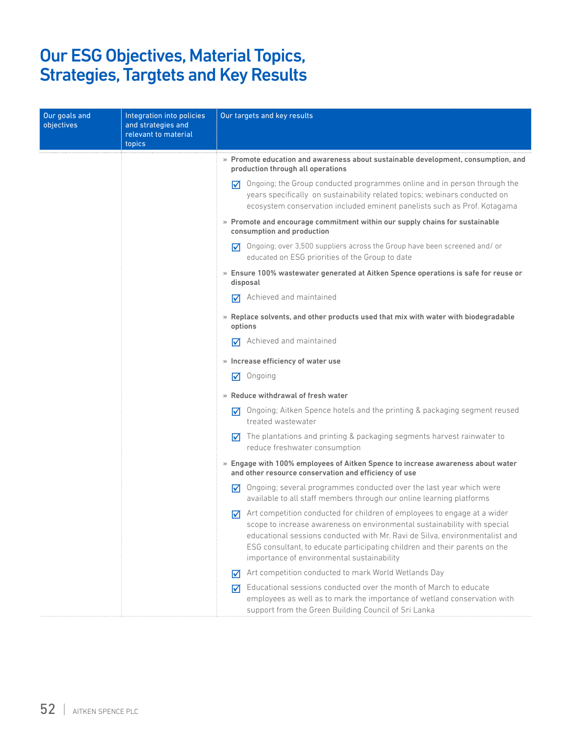# Our ESG Objectives, Material Topics, Strategies, Targtets and Key Results

| Our goals and<br>objectives | Integration into policies<br>and strategies and<br>relevant to material<br>topics | Our targets and key results                                                                                                                                                                                                                                                                                                                                          |
|-----------------------------|-----------------------------------------------------------------------------------|----------------------------------------------------------------------------------------------------------------------------------------------------------------------------------------------------------------------------------------------------------------------------------------------------------------------------------------------------------------------|
|                             |                                                                                   | $\ast$ Promote education and awareness about sustainable development, consumption, and<br>production through all operations                                                                                                                                                                                                                                          |
|                             |                                                                                   | Ongoing; the Group conducted programmes online and in person through the<br>丙<br>years specifically on sustainability related topics; webinars conducted on<br>ecosystem conservation included eminent panelists such as Prof. Kotagama                                                                                                                              |
|                             |                                                                                   | » Promote and encourage commitment within our supply chains for sustainable<br>consumption and production                                                                                                                                                                                                                                                            |
|                             |                                                                                   | Ongoing; over 3,500 suppliers across the Group have been screened and/or<br>М<br>educated on ESG priorities of the Group to date                                                                                                                                                                                                                                     |
|                             |                                                                                   | » Ensure 100% wastewater generated at Aitken Spence operations is safe for reuse or<br>disposal                                                                                                                                                                                                                                                                      |
|                             |                                                                                   | Achieved and maintained<br>⋈                                                                                                                                                                                                                                                                                                                                         |
|                             |                                                                                   | » Replace solvents, and other products used that mix with water with biodegradable<br>options                                                                                                                                                                                                                                                                        |
|                             |                                                                                   | Achieved and maintained<br>⋈                                                                                                                                                                                                                                                                                                                                         |
|                             |                                                                                   | » Increase efficiency of water use                                                                                                                                                                                                                                                                                                                                   |
|                             |                                                                                   | Ongoing<br>☑                                                                                                                                                                                                                                                                                                                                                         |
|                             |                                                                                   | » Reduce withdrawal of fresh water                                                                                                                                                                                                                                                                                                                                   |
|                             |                                                                                   | Ongoing; Aitken Spence hotels and the printing & packaging segment reused<br>⋈<br>treated wastewater                                                                                                                                                                                                                                                                 |
|                             |                                                                                   | The plantations and printing & packaging segments harvest rainwater to<br>☑<br>reduce freshwater consumption                                                                                                                                                                                                                                                         |
|                             |                                                                                   | » Engage with 100% employees of Aitken Spence to increase awareness about water<br>and other resource conservation and efficiency of use                                                                                                                                                                                                                             |
|                             |                                                                                   | Ongoing; several programmes conducted over the last year which were<br>⋈<br>available to all staff members through our online learning platforms                                                                                                                                                                                                                     |
|                             |                                                                                   | Art competition conducted for children of employees to engage at a wider<br>⋈<br>scope to increase awareness on environmental sustainability with special<br>educational sessions conducted with Mr. Ravi de Silva, environmentalist and<br>ESG consultant, to educate participating children and their parents on the<br>importance of environmental sustainability |
|                             |                                                                                   | Art competition conducted to mark World Wetlands Day<br>$\overline{\mathsf{M}}$                                                                                                                                                                                                                                                                                      |
|                             |                                                                                   | Educational sessions conducted over the month of March to educate<br>☑<br>employees as well as to mark the importance of wetland conservation with<br>support from the Green Building Council of Sri Lanka                                                                                                                                                           |